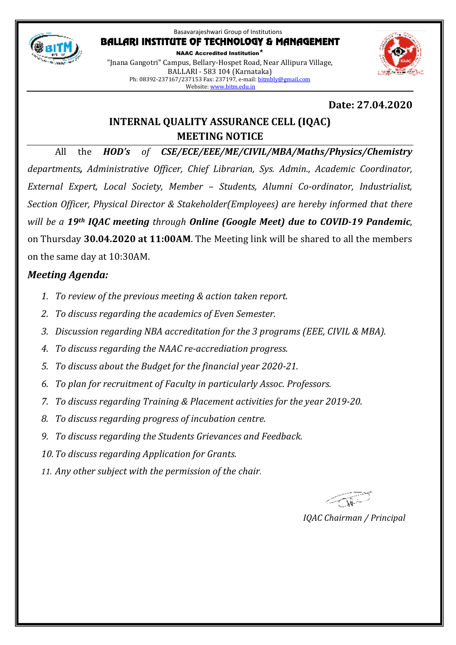

#### Basavarajeshwari Group of Institutions BALLARI INSTITUTE OF TECHNOLOGY & MANAGEMENT NAAC Accredited Institution\*

"Jnana Gangotri" Campus, Bellary-Hospet Road, Near Allipura Village, BALLARI - 583 104 (Karnataka) Ph: 08392-237167/237153 Fax: 237197, e-mail: bitmbly@gmail.com Website: www.bitm.edu.in

# **Date: 27.04.2020**

# **INTERNAL QUALITY ASSURANCE CELL (IQAC) MEETING NOTICE**

All the *HOD's of CSE/ECE/EEE/ME/CIVIL/MBA/Maths/Physics/Chemistry departments, Administrative Officer, Chief Librarian, Sys. Admin., Academic Coordinator, External Expert, Local Society, Member – Students, Alumni Co-ordinator, Industrialist, Section Officer, Physical Director & Stakeholder(Employees) are hereby informed that there will be a 19th IQAC meeting through Online (Google Meet) due to COVID-19 Pandemic*, on Thursday **30.04.2020 at 11:00AM**. The Meeting link will be shared to all the members on the same day at 10:30AM.

# *Meeting Agenda:*

- *1. To review of the previous meeting & action taken report.*
- *2. To discuss regarding the academics of Even Semester.*
- *3. Discussion regarding NBA accreditation for the 3 programs (EEE, CIVIL & MBA).*
- *4. To discuss regarding the NAAC re-accrediation progress.*
- *5. To discuss about the Budget for the financial year 2020-21.*
- *6. To plan for recruitment of Faculty in particularly Assoc. Professors.*
- *7. To discuss regarding Training & Placement activities for the year 2019-20.*
- *8. To discuss regarding progress of incubation centre.*
- *9. To discuss regarding the Students Grievances and Feedback.*
- *10.To discuss regarding Application for Grants.*
- *11. Any other subject with the permission of the chair.*

*IQAC Chairman / Principal*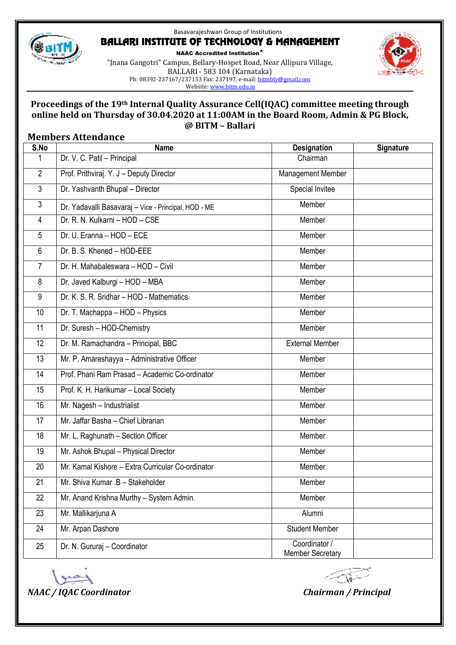

#### Basavarajeshwari Group of Institutions BALLARI INSTITUTE OF TECHNOLOGY & MANAGEMENT

"Jnana Gangotri" Campus, Bellary-Hospet Road, Near Allipura Village,



NAAC Accredited Institution\*

BALLARI - 583 104 (Karnataka) Ph: 08392-237167/237153 Fax: 237197, e-mail: bitmbly@gmail.com Website: www.bitm.edu.in

#### **Proceedings of the 19th Internal Quality Assurance Cell(IQAC) committee meeting through online held on Thursday of 30.04.2020 at 11:00AM in the Board Room, Admin & PG Block, @ BITM – Ballari**

#### **Members Attendance**

| S.No           | <b>Name</b>                                          | <b>Designation</b>                       | Signature |
|----------------|------------------------------------------------------|------------------------------------------|-----------|
| 1              | Dr. V. C. Patil - Principal                          | Chairman                                 |           |
| $\overline{2}$ | Prof. Prithviraj. Y. J - Deputy Director             | Management Member                        |           |
| 3              | Dr. Yashvanth Bhupal - Director                      | Special Invitee                          |           |
| 3              | Dr. Yadavalli Basavaraj - Vice - Principal, HOD - ME | Member                                   |           |
| $\overline{4}$ | Dr. R. N. Kulkarni - HOD - CSE                       | Member                                   |           |
| 5              | Dr. U. Eranna - HOD - ECE                            | Member                                   |           |
| 6              | Dr. B. S. Khened - HOD-EEE                           | Member                                   |           |
| $\overline{7}$ | Dr. H. Mahabaleswara - HOD - Civil                   | Member                                   |           |
| 8              | Dr. Javed Kalburgi - HOD - MBA                       | Member                                   |           |
| 9              | Dr. K. S. R. Sridhar - HOD - Mathematics             | Member                                   |           |
| 10             | Dr. T. Machappa - HOD - Physics                      | Member                                   |           |
| 11             | Dr. Suresh - HOD-Chemistry                           | Member                                   |           |
| 12             | Dr. M. Ramachandra - Principal, BBC                  | <b>External Member</b>                   |           |
| 13             | Mr. P. Amareshayya - Administrative Officer          | Member                                   |           |
| 14             | Prof. Phani Ram Prasad - Academic Co-ordinator       | Member                                   |           |
| 15             | Prof. K. H. Harikumar - Local Society                | Member                                   |           |
| 16             | Mr. Nagesh - Industrialist                           | Member                                   |           |
| 17             | Mr. Jaffar Basha - Chief Librarian                   | Member                                   |           |
| 18             | Mr. L. Raghunath - Section Officer                   | Member                                   |           |
| 19             | Mr. Ashok Bhupal - Physical Director                 | Member                                   |           |
| 20             | Mr. Kamal Kishore - Extra Curricular Co-ordinator    | Member                                   |           |
| 21             | Mr. Shiva Kumar .B - Stakeholder                     | Member                                   |           |
| 22             | Mr. Anand Krishna Murthy - System Admin.             | Member                                   |           |
| 23             | Mr. Mallikarjuna A                                   | Alumni                                   |           |
| 24             | Mr. Arpan Dashore                                    | <b>Student Member</b>                    |           |
| 25             | Dr. N. Gururaj - Coordinator                         | Coordinator /<br><b>Member Secretary</b> |           |



← Ni -->

*NAAC / IQAC Coordinator Chairman / Principal*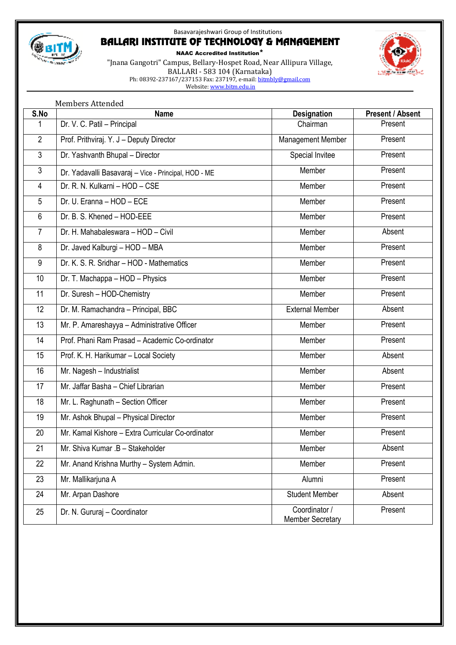

### Basavarajeshwari Group of Institutions BALLARI INSTITUTE OF TECHNOLOGY & MANAGEMENT

NAAC Accredited Institution\* "Jnana Gangotri" Campus, Bellary-Hospet Road, Near Allipura Village, BALLARI - 583 104 (Karnataka) Ph: 08392-237167/237153 Fax: 237197, e-mail: <u>bitmbly@gmail.com</u> Website: www.bitm.edu.in



|                | <b>Members Attended</b>                              |                                          |                         |  |  |
|----------------|------------------------------------------------------|------------------------------------------|-------------------------|--|--|
| S.No           | <b>Name</b>                                          | <b>Designation</b>                       | <b>Present / Absent</b> |  |  |
| 1              | Dr. V. C. Patil - Principal                          | Chairman                                 | Present                 |  |  |
| $\overline{2}$ | Prof. Prithviraj. Y. J - Deputy Director             | Management Member                        | Present                 |  |  |
| $\mathfrak{Z}$ | Dr. Yashvanth Bhupal - Director                      | Special Invitee                          | Present                 |  |  |
| $\mathfrak{Z}$ | Dr. Yadavalli Basavaraj - Vice - Principal, HOD - ME | Member                                   | Present                 |  |  |
| $\overline{4}$ | Dr. R. N. Kulkarni - HOD - CSE                       | Member                                   | Present                 |  |  |
| 5              | Dr. U. Eranna - HOD - ECE                            | Member                                   | Present                 |  |  |
| $6\phantom{1}$ | Dr. B. S. Khened - HOD-EEE                           | Member                                   | Present                 |  |  |
| $\overline{7}$ | Dr. H. Mahabaleswara - HOD - Civil                   | Member                                   | Absent                  |  |  |
| 8              | Dr. Javed Kalburgi - HOD - MBA                       | Member                                   | Present                 |  |  |
| 9              | Dr. K. S. R. Sridhar - HOD - Mathematics             | Member                                   | Present                 |  |  |
| 10             | Dr. T. Machappa - HOD - Physics                      | Member                                   | Present                 |  |  |
| 11             | Dr. Suresh - HOD-Chemistry                           | Member                                   | Present                 |  |  |
| 12             | Dr. M. Ramachandra - Principal, BBC                  | <b>External Member</b>                   | Absent                  |  |  |
| 13             | Mr. P. Amareshayya - Administrative Officer          | Member                                   | Present                 |  |  |
| 14             | Prof. Phani Ram Prasad - Academic Co-ordinator       | Member                                   | Present                 |  |  |
| 15             | Prof. K. H. Harikumar - Local Society                | Member                                   | Absent                  |  |  |
| 16             | Mr. Nagesh - Industrialist                           | Member                                   | Absent                  |  |  |
| 17             | Mr. Jaffar Basha - Chief Librarian                   | Member                                   | Present                 |  |  |
| 18             | Mr. L. Raghunath - Section Officer                   | Member                                   | Present                 |  |  |
| 19             | Mr. Ashok Bhupal - Physical Director                 | Member                                   | Present                 |  |  |
| 20             | Mr. Kamal Kishore - Extra Curricular Co-ordinator    | Member                                   | Present                 |  |  |
| 21             | Mr. Shiva Kumar .B - Stakeholder                     | Member                                   | Absent                  |  |  |
| 22             | Mr. Anand Krishna Murthy - System Admin.             | Member                                   | Present                 |  |  |
| 23             | Mr. Mallikarjuna A                                   | Alumni                                   | Present                 |  |  |
| 24             | Mr. Arpan Dashore                                    | <b>Student Member</b>                    | Absent                  |  |  |
| 25             | Dr. N. Gururaj - Coordinator                         | Coordinator /<br><b>Member Secretary</b> | Present                 |  |  |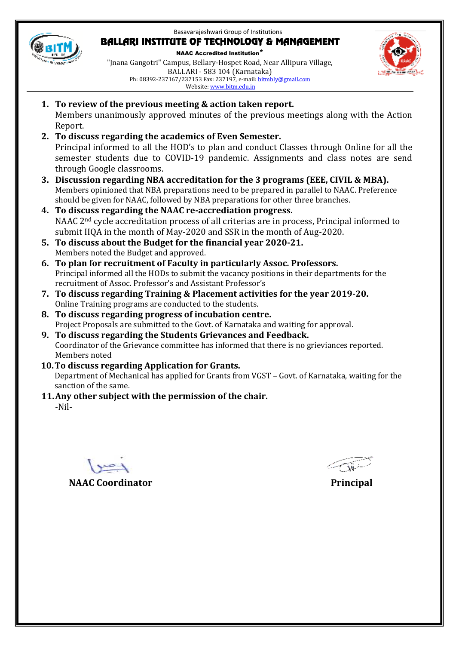Basavarajeshwari Group of Institutions



#### BALLARI INSTITUTE OF TECHNOLOGY & MANAGEMENT

NAAC Accredited Institution\* "Jnana Gangotri" Campus, Bellary-Hospet Road, Near Allipura Village, BALLARI - 583 104 (Karnataka) Ph: 08392-237167/237153 Fax: 237197, e-mail: bitmbly@gmail.com Website: www.bitm.edu.in



- **1. To review of the previous meeting & action taken report.**  Members unanimously approved minutes of the previous meetings along with the Action Report.
- **2. To discuss regarding the academics of Even Semester.**  Principal informed to all the HOD's to plan and conduct Classes through Online for all the semester students due to COVID-19 pandemic. Assignments and class notes are send through Google classrooms.
- **3. Discussion regarding NBA accreditation for the 3 programs (EEE, CIVIL & MBA).**  Members opinioned that NBA preparations need to be prepared in parallel to NAAC. Preference should be given for NAAC, followed by NBA preparations for other three branches.
- **4. To discuss regarding the NAAC re-accrediation progress.**  NAAC 2nd cycle accreditation process of all criterias are in process, Principal informed to submit IIQA in the month of May-2020 and SSR in the month of Aug-2020.
- **5. To discuss about the Budget for the financial year 2020-21.**  Members noted the Budget and approved.
- **6. To plan for recruitment of Faculty in particularly Assoc. Professors.**  Principal informed all the HODs to submit the vacancy positions in their departments for the recruitment of Assoc. Professor's and Assistant Professor's
- **7. To discuss regarding Training & Placement activities for the year 2019-20.**  Online Training programs are conducted to the students.
- **8. To discuss regarding progress of incubation centre.** Project Proposals are submitted to the Govt. of Karnataka and waiting for approval.
- **9. To discuss regarding the Students Grievances and Feedback.**  Coordinator of the Grievance committee has informed that there is no grieviances reported. Members noted
- **10.To discuss regarding Application for Grants.**  Department of Mechanical has applied for Grants from VGST – Govt. of Karnataka, waiting for the sanction of the same.

### **11.Any other subject with the permission of the chair.**

-Nil-

**NAAC Coordinator** Principal